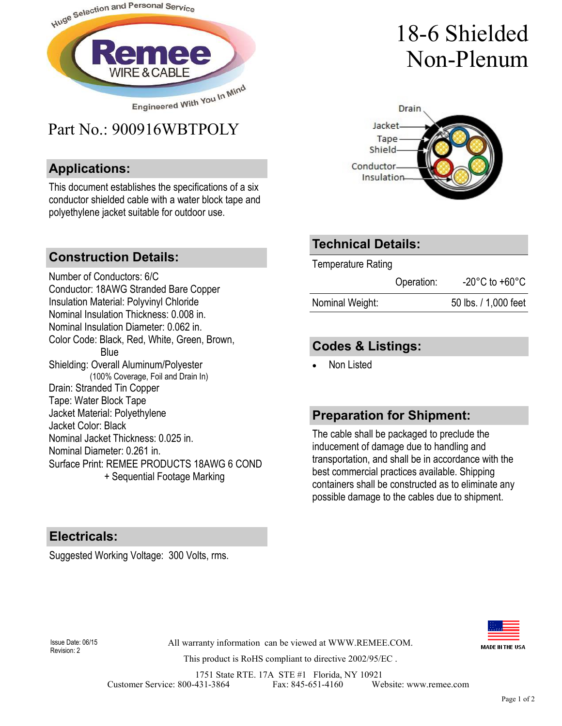

## Part No.: 900916WBTPOLY

#### **Applications:**

This document establishes the specifications of a six conductor shielded cable with a water block tape and polyethylene jacket suitable for outdoor use.

#### **Construction Details:**

Number of Conductors: 6/C Conductor: 18AWG Stranded Bare Copper Insulation Material: Polyvinyl Chloride Nominal Insulation Thickness: 0.008 in. Nominal Insulation Diameter: 0.062 in. Color Code: Black, Red, White, Green, Brown, Blue Shielding: Overall Aluminum/Polyester (100% Coverage, Foil and Drain In) Drain: Stranded Tin Copper Tape: Water Block Tape Jacket Material: Polyethylene Jacket Color: Black Nominal Jacket Thickness: 0.025 in. Nominal Diameter: 0.261 in. Surface Print: REMEE PRODUCTS 18AWG 6 COND + Sequential Footage Marking

## 18-6 Shielded Non-Plenum



### **Technical Details:**

Temperature Rating

|                 | Operation: | $-20^{\circ}$ C to $+60^{\circ}$ C |
|-----------------|------------|------------------------------------|
| Nominal Weight: |            | 50 lbs. / 1,000 feet               |

#### **Codes & Listings:**

Non Listed

#### **Preparation for Shipment:**

The cable shall be packaged to preclude the inducement of damage due to handling and transportation, and shall be in accordance with the best commercial practices available. Shipping containers shall be constructed as to eliminate any possible damage to the cables due to shipment.

#### **Electricals:**

Suggested Working Voltage: 300 Volts, rms.



Revision: 2

All warranty information can be viewed at WWW.REMEE.COM. Issue Date: 06/15

This product is RoHS compliant to directive 2002/95/EC .